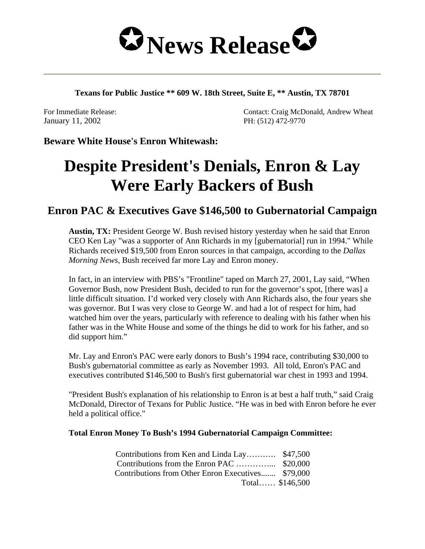

**Texans for Public Justice \*\* 609 W. 18th Street, Suite E, \*\* Austin, TX 78701** 

January 11, 2002 PH: (512) 472-9770

For Immediate Release: Contact: Craig McDonald, Andrew Wheat

**Beware White House's Enron Whitewash:**

# **Despite President's Denials, Enron & Lay Were Early Backers of Bush**

## **Enron PAC & Executives Gave \$146,500 to Gubernatorial Campaign**

**Austin, TX:** President George W. Bush revised history yesterday when he said that Enron CEO Ken Lay "was a supporter of Ann Richards in my [gubernatorial] run in 1994." While Richards received \$19,500 from Enron sources in that campaign, according to the *Dallas Morning News*, Bush received far more Lay and Enron money.

In fact, in an interview with PBS's "Frontline" taped on March 27, 2001, Lay said, "When Governor Bush, now President Bush, decided to run for the governor's spot, [there was] a little difficult situation. I'd worked very closely with Ann Richards also, the four years she was governor. But I was very close to George W. and had a lot of respect for him, had watched him over the years, particularly with reference to dealing with his father when his father was in the White House and some of the things he did to work for his father, and so did support him."

Mr. Lay and Enron's PAC were early donors to Bush's 1994 race, contributing \$30,000 to Bush's gubernatorial committee as early as November 1993. All told, Enron's PAC and executives contributed \$146,500 to Bush's first gubernatorial war chest in 1993 and 1994.

"President Bush's explanation of his relationship to Enron is at best a half truth," said Craig McDonald, Director of Texans for Public Justice. "He was in bed with Enron before he ever held a political office."

#### **Total Enron Money To Bush's 1994 Gubernatorial Campaign Committee:**

| Contributions from Ken and Linda Lay \$47,500      |  |
|----------------------------------------------------|--|
|                                                    |  |
| Contributions from Other Enron Executives \$79,000 |  |
| Total $$146,500$                                   |  |